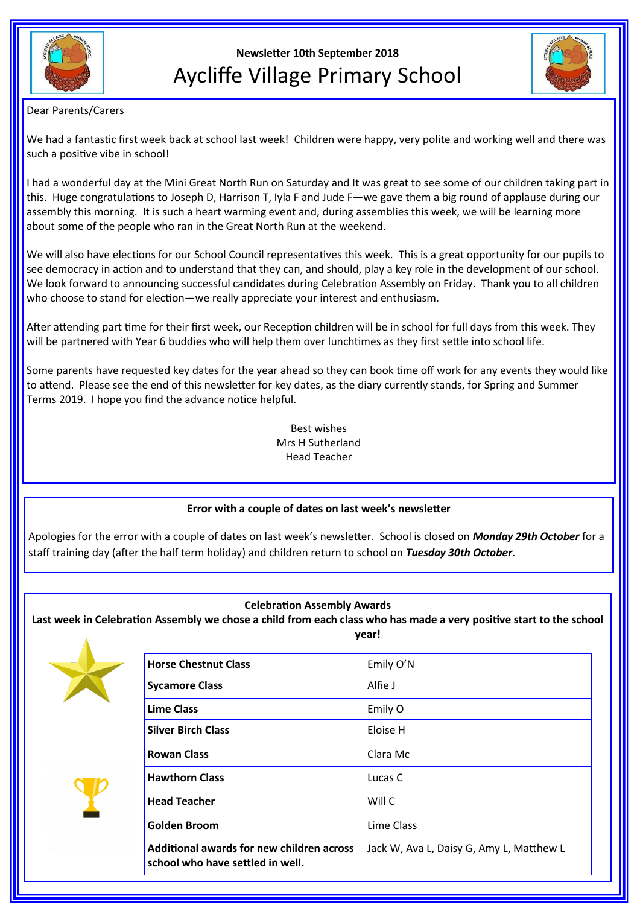

# **Newsletter 10th September 2018** Aycliffe Village Primary School



## Dear Parents/Carers

We had a fantastic first week back at school last week! Children were happy, very polite and working well and there was such a positive vibe in school!

I had a wonderful day at the Mini Great North Run on Saturday and It was great to see some of our children taking part in this. Huge congratulations to Joseph D, Harrison T, Iyla F and Jude F—we gave them a big round of applause during our assembly this morning. It is such a heart warming event and, during assemblies this week, we will be learning more about some of the people who ran in the Great North Run at the weekend.

We will also have elections for our School Council representatives this week. This is a great opportunity for our pupils to see democracy in action and to understand that they can, and should, play a key role in the development of our school. We look forward to announcing successful candidates during Celebration Assembly on Friday. Thank you to all children who choose to stand for election—we really appreciate your interest and enthusiasm.

After attending part time for their first week, our Reception children will be in school for full days from this week. They will be partnered with Year 6 buddies who will help them over lunchtimes as they first settle into school life.

Some parents have requested key dates for the year ahead so they can book time off work for any events they would like to attend. Please see the end of this newsletter for key dates, as the diary currently stands, for Spring and Summer Terms 2019. I hope you find the advance notice helpful.

> Best wishes Mrs H Sutherland Head Teacher

# **Error with a couple of dates on last week's newsletter**

Apologies for the error with a couple of dates on last week's newsletter. School is closed on *Monday 29th October* for a staff training day (after the half term holiday) and children return to school on *Tuesday 30th October*.

# **Celebration Assembly Awards**

**Last week in Celebration Assembly we chose a child from each class who has made a very positive start to the school year!**





| <b>Horse Chestnut Class</b>                                                          | Emily O'N                                |
|--------------------------------------------------------------------------------------|------------------------------------------|
| <b>Sycamore Class</b>                                                                | Alfie J                                  |
| <b>Lime Class</b>                                                                    | Emily O                                  |
| <b>Silver Birch Class</b>                                                            | Eloise H                                 |
| <b>Rowan Class</b>                                                                   | Clara Mc                                 |
| <b>Hawthorn Class</b>                                                                | Lucas C                                  |
| <b>Head Teacher</b>                                                                  | Will C                                   |
| Golden Broom                                                                         | Lime Class                               |
| <b>Additional awards for new children across</b><br>school who have settled in well. | Jack W, Ava L, Daisy G, Amy L, Matthew L |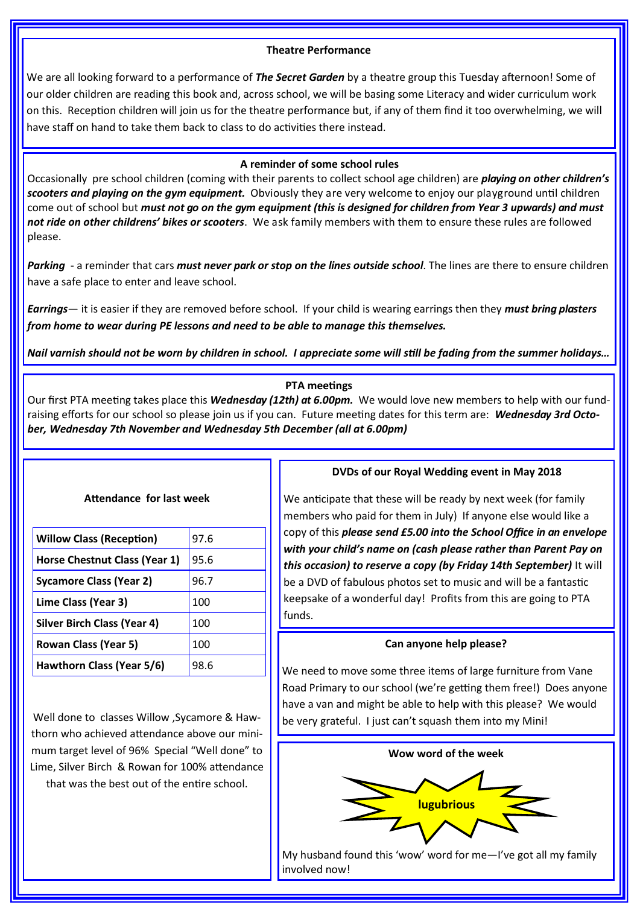## **Theatre Performance**

We are all looking forward to a performance of *The Secret Garden* by a theatre group this Tuesday afternoon! Some of our older children are reading this book and, across school, we will be basing some Literacy and wider curriculum work on this. Reception children will join us for the theatre performance but, if any of them find it too overwhelming, we will have staff on hand to take them back to class to do activities there instead.

#### **A reminder of some school rules**

Occasionally pre school children (coming with their parents to collect school age children) are *playing on other children's scooters and playing on the gym equipment.* Obviously they are very welcome to enjoy our playground until children come out of school but *must not go on the gym equipment (this is designed for children from Year 3 upwards) and must not ride on other childrens' bikes or scooters*. We ask family members with them to ensure these rules are followed please.

*Parking* - a reminder that cars *must never park or stop on the lines outside school*. The lines are there to ensure children have a safe place to enter and leave school.

*Earrings*— it is easier if they are removed before school. If your child is wearing earrings then they *must bring plasters from home to wear during PE lessons and need to be able to manage this themselves.*

*Nail varnish should not be worn by children in school. I appreciate some will still be fading from the summer holidays…* 

#### **PTA meetings**

Our first PTA meeting takes place this *Wednesday (12th) at 6.00pm.* We would love new members to help with our fundraising efforts for our school so please join us if you can. Future meeting dates for this term are: *Wednesday 3rd October, Wednesday 7th November and Wednesday 5th December (all at 6.00pm)*

| Attendance for last week           |      |  |
|------------------------------------|------|--|
|                                    |      |  |
| <b>Willow Class (Reception)</b>    | 97.6 |  |
| Horse Chestnut Class (Year 1)      | 95.6 |  |
| Sycamore Class (Year 2)            | 96.7 |  |
| Lime Class (Year 3)                | 100  |  |
| <b>Silver Birch Class (Year 4)</b> | 100  |  |
| <b>Rowan Class (Year 5)</b>        | 100  |  |
| Hawthorn Class (Year 5/6)          | 98.6 |  |

Well done to classes Willow ,Sycamore & Hawthorn who achieved attendance above our minimum target level of 96% Special "Well done" to Lime, Silver Birch & Rowan for 100% attendance that was the best out of the entire school.

#### **DVDs of our Royal Wedding event in May 2018**

We anticipate that these will be ready by next week (for family members who paid for them in July) If anyone else would like a copy of this *please send £5.00 into the School Office in an envelope with your child's name on (cash please rather than Parent Pay on this occasion) to reserve a copy (by Friday 14th September)* It will be a DVD of fabulous photos set to music and will be a fantastic keepsake of a wonderful day! Profits from this are going to PTA funds.

#### **Can anyone help please?**

We need to move some three items of large furniture from Vane Road Primary to our school (we're getting them free!) Does anyone have a van and might be able to help with this please? We would be very grateful. I just can't squash them into my Mini!



My husband found this 'wow' word for me—I've got all my family involved now!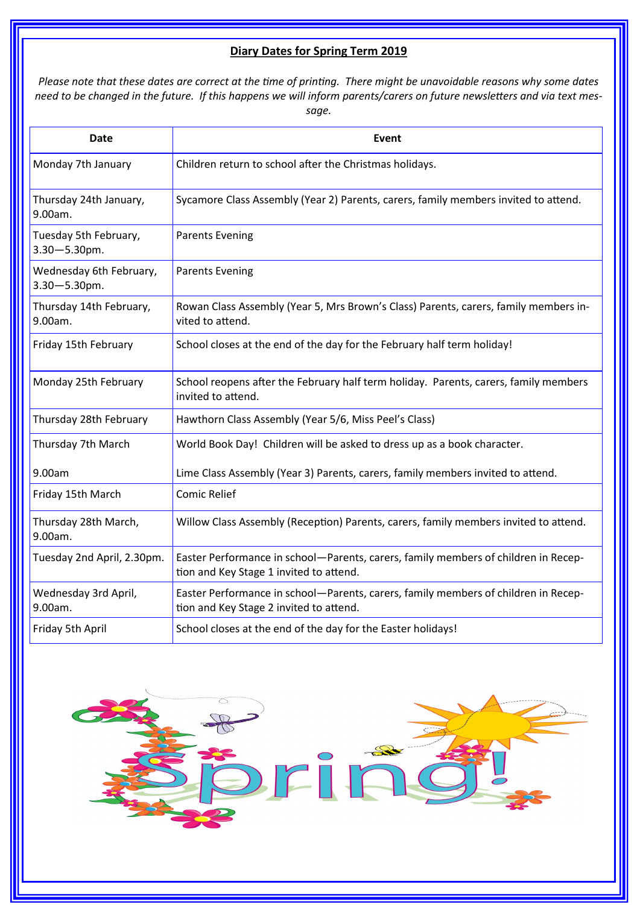# **Diary Dates for Spring Term 2019**

*Please note that these dates are correct at the time of printing. There might be unavoidable reasons why some dates need to be changed in the future. If this happens we will inform parents/carers on future newsletters and via text message.*

| Date                                         | Event                                                                                                                         |
|----------------------------------------------|-------------------------------------------------------------------------------------------------------------------------------|
| Monday 7th January                           | Children return to school after the Christmas holidays.                                                                       |
| Thursday 24th January,<br>9.00am.            | Sycamore Class Assembly (Year 2) Parents, carers, family members invited to attend.                                           |
| Tuesday 5th February,<br>$3.30 - 5.30$ pm.   | <b>Parents Evening</b>                                                                                                        |
| Wednesday 6th February,<br>$3.30 - 5.30$ pm. | <b>Parents Evening</b>                                                                                                        |
| Thursday 14th February,<br>9.00am.           | Rowan Class Assembly (Year 5, Mrs Brown's Class) Parents, carers, family members in-<br>vited to attend.                      |
| Friday 15th February                         | School closes at the end of the day for the February half term holiday!                                                       |
| Monday 25th February                         | School reopens after the February half term holiday. Parents, carers, family members<br>invited to attend.                    |
| Thursday 28th February                       | Hawthorn Class Assembly (Year 5/6, Miss Peel's Class)                                                                         |
| Thursday 7th March                           | World Book Day! Children will be asked to dress up as a book character.                                                       |
| 9.00am                                       | Lime Class Assembly (Year 3) Parents, carers, family members invited to attend.                                               |
| Friday 15th March                            | <b>Comic Relief</b>                                                                                                           |
| Thursday 28th March,<br>9.00am.              | Willow Class Assembly (Reception) Parents, carers, family members invited to attend.                                          |
| Tuesday 2nd April, 2.30pm.                   | Easter Performance in school-Parents, carers, family members of children in Recep-<br>tion and Key Stage 1 invited to attend. |
| Wednesday 3rd April,<br>9.00am.              | Easter Performance in school-Parents, carers, family members of children in Recep-<br>tion and Key Stage 2 invited to attend. |
| Friday 5th April                             | School closes at the end of the day for the Easter holidays!                                                                  |